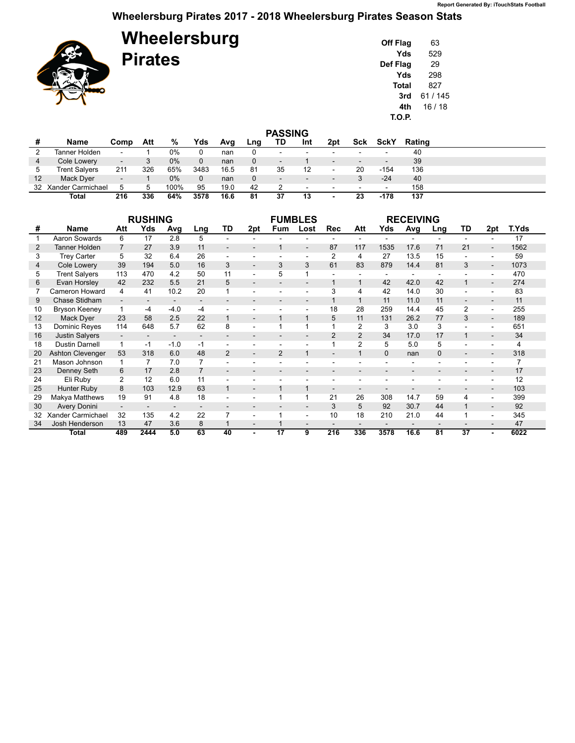## **Wheelersburg Pirates 2017 - 2018 Wheelersburg Pirates Season Stats**

**Wheelersburg**

**Pirates**



| Off Flag | 63      |
|----------|---------|
| Yds      | 529     |
| Def Flag | 29      |
| Yds      | 298     |
| Total    | 827     |
| 3rd      | 61/145  |
| 4th      | 16 / 18 |
| T.O.P.   |         |

|    | <b>PASSING</b>       |                          |     |       |      |      |              |                          |                          |                          |                          |             |        |  |
|----|----------------------|--------------------------|-----|-------|------|------|--------------|--------------------------|--------------------------|--------------------------|--------------------------|-------------|--------|--|
|    | Name                 | Comp                     | Att | %     | Yds  | Avg  | Lng          | TD                       | Int                      | 2pt                      | Sck                      | <b>SckY</b> | Rating |  |
|    | Tanner Holden        | $\overline{\phantom{0}}$ |     | 0%    |      | nan  | 0            | $\overline{\phantom{0}}$ | $\overline{\phantom{0}}$ |                          |                          | -           | 40     |  |
| 4  | Cole Lowery          | $\overline{\phantom{a}}$ |     | $0\%$ |      | nan  | $\Omega$     | $\overline{\phantom{a}}$ |                          | $\overline{\phantom{0}}$ | $\overline{\phantom{0}}$ | -           | 39     |  |
| 5  | <b>Trent Salvers</b> | 211                      | 326 | 65%   | 3483 | 16.5 | 81           | 35                       | 12                       | $\sim$                   | 20                       | $-154$      | 136    |  |
| 12 | Mack Dyer            | $\overline{\phantom{a}}$ |     | $0\%$ | 0    | nan  | $\mathbf{0}$ | $\overline{\phantom{a}}$ | $\overline{\phantom{0}}$ |                          |                          | $-24$       | 40     |  |
|    | 32 Xander Carmichael | 5                        |     | 100%  | 95   | 19.0 | 42           |                          | $\sim$                   | $\sim$                   | ۰                        | $\sim$      | 158    |  |
|    | Total                | 216                      | 336 | 64%   | 3578 | 16.6 | 81           | 37                       | 13                       | $\overline{\phantom{a}}$ | 23                       | -178        | 137    |  |

|    |                         | <b>FUMBLES</b>           |                          |                          |                | <b>RECEIVING</b>         |                          |                 |                          |                          |                          |          |      |                |                          |                |       |
|----|-------------------------|--------------------------|--------------------------|--------------------------|----------------|--------------------------|--------------------------|-----------------|--------------------------|--------------------------|--------------------------|----------|------|----------------|--------------------------|----------------|-------|
| #  | <b>Name</b>             | Att                      | Yds                      | Avg                      | Lng            | TD                       | 2pt                      | Fum             | Lost                     | <b>Rec</b>               | Att                      | Yds      | Avg  | Lng            | TD                       | 2pt            | T.Yds |
|    | Aaron Sowards           | 6                        | 17                       | 2.8                      | 5              |                          | $\overline{a}$           |                 |                          |                          | $\overline{\phantom{0}}$ |          |      | $\blacksquare$ |                          | ÷.             | 17    |
| 2  | <b>Tanner Holden</b>    | $\overline{7}$           | 27                       | 3.9                      | 11             |                          | $\overline{\phantom{a}}$ | 1               | $\overline{\phantom{a}}$ | 87                       | 117                      | 1535     | 17.6 | 71             | 21                       |                | 1562  |
| 3  | <b>Trey Carter</b>      | 5                        | 32                       | 6.4                      | 26             |                          |                          |                 | ٠                        | $\overline{2}$           | 4                        | 27       | 13.5 | 15             |                          |                | 59    |
| 4  | Cole Lowery             | 39                       | 194                      | 5.0                      | 16             | 3                        | $\blacksquare$           | 3               | 3                        | 61                       | 83                       | 879      | 14.4 | 81             | 3                        |                | 1073  |
| 5  | <b>Trent Salvers</b>    | 113                      | 470                      | 4.2                      | 50             | 11                       | $\blacksquare$           | 5               |                          |                          |                          |          |      |                |                          |                | 470   |
| 6  | Evan Horsley            | 42                       | 232                      | 5.5                      | 21             | 5                        | $\overline{\phantom{a}}$ |                 | $\overline{\phantom{a}}$ | $\mathbf{1}$             | $\mathbf{1}$             | 42       | 42.0 | 42             | $\mathbf{1}$             |                | 274   |
|    | Cameron Howard          | 4                        | 41                       | 10.2                     | 20             |                          |                          |                 | ٠                        | 3                        | 4                        | 42       | 14.0 | 30             |                          |                | 83    |
| 9  | Chase Stidham           |                          |                          | $\overline{\phantom{a}}$ |                |                          |                          |                 | $\overline{\phantom{0}}$ | $\mathbf{1}$             | $\mathbf{1}$             | 11       | 11.0 | 11             |                          |                | 11    |
| 10 | <b>Bryson Keeney</b>    |                          | -4                       | $-4.0$                   | $-4$           |                          |                          |                 |                          | 18                       | 28                       | 259      | 14.4 | 45             | $\overline{2}$           |                | 255   |
| 12 | Mack Dyer               | 23                       | 58                       | 2.5                      | 22             | $\mathbf{1}$             | $\overline{\phantom{a}}$ | $\mathbf 1$     | $\mathbf{1}$             | 5                        | 11                       | 131      | 26.2 | 77             | 3                        | $\blacksquare$ | 189   |
| 13 | Dominic Reyes           | 114                      | 648                      | 5.7                      | 62             | 8                        |                          |                 |                          |                          | 2                        | 3        | 3.0  | 3              |                          | ÷.             | 651   |
| 16 | <b>Justin Salvers</b>   | $\overline{\phantom{a}}$ | $\overline{\phantom{a}}$ | $\overline{\phantom{a}}$ |                |                          |                          | ٠               | $\overline{\phantom{a}}$ | $\overline{2}$           | $\overline{2}$           | 34       | 17.0 | 17             | $\mathbf{1}$             | ۰.             | 34    |
| 18 | <b>Dustin Darnell</b>   |                          | -1                       | $-1.0$                   | $-1$           |                          |                          | ÷               | $\blacksquare$           | 1                        | $\overline{2}$           | 5        | 5.0  | 5              |                          | ٠              | 4     |
| 20 | <b>Ashton Clevenger</b> | 53                       | 318                      | 6.0                      | 48             | $\overline{2}$           | $\overline{\phantom{a}}$ | $\overline{2}$  | $\mathbf{1}$             | $\overline{\phantom{a}}$ | $\mathbf{1}$             | $\Omega$ | nan  | $\Omega$       | $\overline{\phantom{a}}$ | ٠              | 318   |
| 21 | Mason Johnson           |                          | 7                        | 7.0                      |                |                          |                          |                 |                          |                          |                          |          |      |                |                          |                |       |
| 23 | Denney Seth             | 6                        | 17                       | 2.8                      | $\overline{7}$ | $\overline{\phantom{0}}$ | $\overline{\phantom{a}}$ | ٠               |                          | $\overline{\phantom{0}}$ | ۰                        |          |      | ٠              |                          |                | 17    |
| 24 | Eli Ruby                | 2                        | 12                       | 6.0                      | 11             |                          |                          |                 |                          |                          |                          |          |      |                |                          |                | 12    |
| 25 | Hunter Ruby             | 8                        | 103                      | 12.9                     | 63             | $\overline{1}$           | $\overline{\phantom{a}}$ | 1               | 1                        | $\overline{\phantom{a}}$ | $\overline{\phantom{0}}$ |          |      |                |                          |                | 103   |
| 29 | Makya Matthews          | 19                       | 91                       | 4.8                      | 18             |                          |                          | 4               | 1                        | 21                       | 26                       | 308      | 14.7 | 59             | 4                        |                | 399   |
| 30 | <b>Avery Donini</b>     |                          |                          |                          |                |                          |                          |                 | $\overline{\phantom{a}}$ | 3                        | 5                        | 92       | 30.7 | 44             |                          |                | 92    |
| 32 | Xander Carmichael       | 32                       | 135                      | 4.2                      | 22             | $\overline{7}$           |                          |                 | $\overline{a}$           | 10                       | 18                       | 210      | 21.0 | 44             |                          |                | 345   |
| 34 | Josh Henderson          | 13                       | 47                       | 3.6                      | 8              |                          | $\blacksquare$           |                 | $\overline{\phantom{a}}$ | $\overline{\phantom{a}}$ | $\overline{\phantom{0}}$ |          |      |                |                          |                | 47    |
|    | Total                   | 489                      | 2444                     | 5.0                      | 63             | 40                       |                          | $\overline{17}$ | $\overline{9}$           | 216                      | 336                      | 3578     | 16.6 | 81             | $\overline{37}$          |                | 6022  |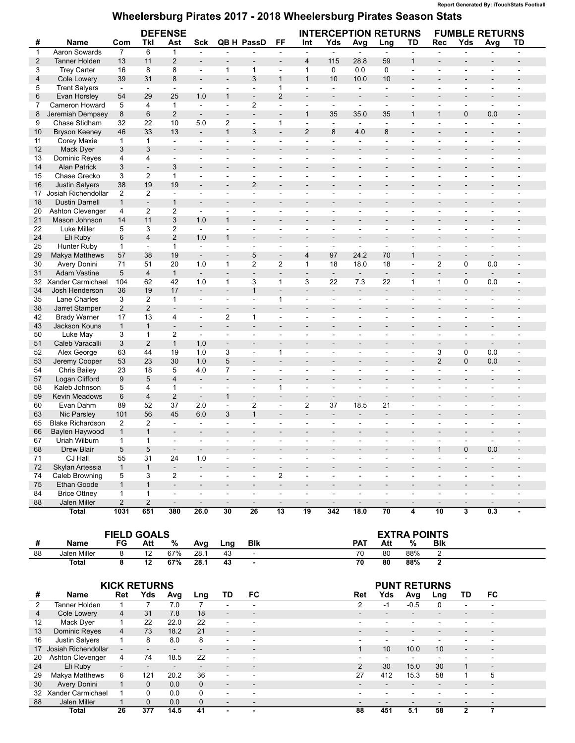## **Wheelersburg Pirates 2017 - 2018 Wheelersburg Pirates Season Stats**

|                |                         | <b>DEFENSE</b>           |                         |                          |                                  |                          |                                            |                          | <b>INTERCEPTION RETURNS</b>                |                          |                          |                                | <b>FUMBLE RETURNS</b>    |                          |                          |                          |                          |
|----------------|-------------------------|--------------------------|-------------------------|--------------------------|----------------------------------|--------------------------|--------------------------------------------|--------------------------|--------------------------------------------|--------------------------|--------------------------|--------------------------------|--------------------------|--------------------------|--------------------------|--------------------------|--------------------------|
| #              | Name                    | Com                      | Tkl                     | Ast                      | Sck                              |                          | QB H PassD                                 | <b>FF</b>                | Int                                        | Yds                      | Avg                      | Lng                            | TD                       | <b>Rec</b>               | Yds                      | Avg                      | TD                       |
| $\mathbf{1}$   | Aaron Sowards           | $\overline{7}$           | 6                       | $\mathbf{1}$             | $\mathbb{L}$                     | $\blacksquare$           | $\sim$                                     | $\Box$                   | $\overline{a}$                             | L.                       | $\omega$                 | $\omega$                       | $\overline{a}$           | $\mathbf{r}$             | $\overline{a}$           | $\overline{a}$           | $\overline{a}$           |
| $\overline{c}$ | <b>Tanner Holden</b>    | 13                       | 11                      | $\overline{2}$           | $\overline{\phantom{0}}$         |                          | $\overline{\phantom{a}}$                   | $\overline{\phantom{a}}$ | $\overline{\mathbf{4}}$                    | 115                      | 28.8                     | 59                             | $\mathbf{1}$             | $\overline{a}$           |                          |                          |                          |
| 3              | <b>Trey Carter</b>      | 16                       | 8                       | 8                        | $\blacksquare$                   | $\mathbf{1}$             | 1                                          | $\blacksquare$           | $\mathbf{1}$                               | 0                        | 0.0                      | $\mathbf 0$                    | $\blacksquare$           | $\omega$                 | $\sim$                   | $\overline{\phantom{a}}$ | $\sim$                   |
| 4              | Cole Lowery             | 39                       | 31                      | 8                        | $\overline{\phantom{a}}$         | $\overline{\phantom{a}}$ | 3                                          | $\mathbf{1}$             | $\mathbf{1}$                               | 10                       | 10.0                     | 10                             | $\overline{\phantom{a}}$ | $\overline{a}$           | $\overline{a}$           | $\overline{\phantom{a}}$ |                          |
| 5              | <b>Trent Salyers</b>    | $\overline{\phantom{a}}$ | $\blacksquare$          | $\blacksquare$           | $\blacksquare$                   | $\overline{\phantom{a}}$ | $\overline{\phantom{a}}$                   | $\mathbf{1}$             | $\overline{\phantom{a}}$                   | $\overline{\phantom{a}}$ | $\overline{\phantom{a}}$ | $\blacksquare$                 | $\overline{\phantom{a}}$ | $\overline{\phantom{a}}$ | $\overline{\phantom{a}}$ | $\overline{\phantom{a}}$ | $\blacksquare$           |
| 6              | Evan Horsley            | 54                       | 29                      | 25                       | 1.0                              | $\mathbf{1}$             | $\overline{\phantom{a}}$                   | $\overline{2}$           | $\overline{\phantom{a}}$                   | $\overline{\phantom{a}}$ | $\blacksquare$           | $\overline{\phantom{a}}$       | $\overline{\phantom{a}}$ | $\overline{\phantom{a}}$ | $\blacksquare$           | $\overline{\phantom{a}}$ |                          |
| 7              | Cameron Howard          | 5                        | 4                       | $\mathbf{1}$             | $\mathbf{r}$                     | $\overline{a}$           | $\overline{2}$                             | $\sim$                   | $\overline{\phantom{a}}$                   | $\blacksquare$           | $\omega$                 | $\sim$                         | ÷.                       | $\overline{a}$           | ÷.                       | $\overline{a}$           |                          |
| 8              | Jeremiah Dempsey        | 8                        | $6\phantom{1}$          | $\overline{2}$           | $\overline{\phantom{a}}$         | $\overline{\phantom{a}}$ | $\overline{\phantom{a}}$                   | $\blacksquare$           | $\mathbf{1}$                               | 35                       | 35.0                     | 35                             | $\mathbf{1}$             | $\mathbf{1}$             | $\mathbf{0}$             | 0.0                      |                          |
| 9              | Chase Stidham           | 32                       | 22                      | 10                       | 5.0                              | $\overline{2}$           | $\overline{\phantom{a}}$                   | 1                        | $\blacksquare$                             | $\blacksquare$           | $\sim$                   | $\blacksquare$                 | $\overline{\phantom{a}}$ | $\sim$                   | $\overline{\phantom{a}}$ | $\overline{a}$           |                          |
| 10             | <b>Bryson Keeney</b>    | 46                       | 33                      | 13                       | ÷,                               | $\mathbf{1}$             | 3                                          | $\Box$                   | $\overline{2}$                             | 8                        | 4.0                      | 8                              | $\overline{a}$           | $\overline{a}$           | $\overline{\phantom{a}}$ | $\overline{a}$           |                          |
| 11             | Corey Maxie             | $\mathbf{1}$             | $\mathbf{1}$            | $\blacksquare$           | $\blacksquare$                   | $\overline{\phantom{a}}$ | $\sim$                                     | $\blacksquare$           | $\overline{\phantom{a}}$                   | $\sim$                   | $\sim$                   | $\overline{\phantom{a}}$       | $\blacksquare$           | $\blacksquare$           | $\blacksquare$           | $\sim$                   | $\blacksquare$           |
| 12             | Mack Dyer               | 3                        | 3                       | $\overline{\phantom{a}}$ | $\overline{\phantom{0}}$         | $\overline{\phantom{a}}$ | $\overline{\phantom{a}}$                   | ÷,                       | $\qquad \qquad \blacksquare$               | $\overline{\phantom{a}}$ | $\overline{\phantom{0}}$ | $\blacksquare$                 | $\overline{a}$           |                          | ٠                        |                          |                          |
| 13             | Dominic Reyes           | 4                        | 4                       | $\blacksquare$           | $\blacksquare$                   | $\overline{\phantom{a}}$ | $\overline{\phantom{a}}$                   | $\blacksquare$           | $\blacksquare$                             | $\blacksquare$           | $\blacksquare$           | $\blacksquare$                 | ÷,                       | $\blacksquare$           | $\overline{\phantom{a}}$ | $\blacksquare$           | $\overline{\phantom{a}}$ |
| 14             | <b>Alan Patrick</b>     | 3                        | $\frac{1}{2}$           | 3                        | $\overline{a}$                   | $\blacksquare$           | $\sim$                                     | L,                       | $\blacksquare$                             | $\blacksquare$           | ÷.                       | $\overline{\phantom{a}}$       |                          |                          | ÷,                       |                          |                          |
| 15             | Chase Grecko            | 3                        | $\overline{2}$          | $\mathbf{1}$             | $\blacksquare$                   | $\blacksquare$           | $\blacksquare$                             | $\sim$                   | $\overline{\phantom{a}}$                   | $\overline{\phantom{a}}$ | $\overline{\phantom{a}}$ | $\sim$                         | $\blacksquare$           | $\sim$                   | $\overline{\phantom{a}}$ |                          |                          |
| 16             | <b>Justin Salyers</b>   | 38                       | 19                      | 19                       | $\overline{\phantom{0}}$         |                          | $\overline{2}$                             | ÷,                       | $\overline{a}$                             | $\overline{a}$           | $\overline{a}$           |                                |                          |                          |                          |                          |                          |
| 17             | Josiah Richendollar     | 2                        | $\overline{2}$          | $\blacksquare$           | $\overline{\phantom{a}}$         | $\overline{\phantom{a}}$ | $\overline{\phantom{a}}$                   | $\blacksquare$           | $\overline{\phantom{a}}$                   | $\overline{\phantom{a}}$ | $\blacksquare$           | $\overline{\phantom{a}}$       | $\overline{\phantom{a}}$ | $\sim$                   | $\overline{\phantom{a}}$ |                          |                          |
| 18             | <b>Dustin Darnell</b>   | $\mathbf{1}$             | $\blacksquare$          | $\mathbf{1}$             | $\overline{\phantom{a}}$         | $\blacksquare$           | $\overline{\phantom{a}}$                   | $\overline{\phantom{m}}$ | $\blacksquare$                             | $\blacksquare$           | $\qquad \qquad =$        | $\overline{\phantom{a}}$       | $\blacksquare$           |                          |                          |                          |                          |
| 20             | Ashton Clevenger        | 4                        | $\overline{2}$          | $\overline{2}$           | $\overline{\phantom{a}}$         | $\overline{\phantom{a}}$ | $\overline{\phantom{a}}$                   | $\blacksquare$           | $\overline{\phantom{a}}$                   | $\overline{\phantom{a}}$ | $\overline{\phantom{a}}$ | $\overline{\phantom{a}}$       | $\blacksquare$           | $\overline{\phantom{a}}$ | $\overline{\phantom{a}}$ | $\blacksquare$           | $\sim$                   |
| 21             | Mason Johnson           | 14                       | 11                      | 3                        | 1.0                              | 1                        | $\overline{\phantom{a}}$                   | $\blacksquare$           | $\overline{\phantom{a}}$                   | $\overline{\phantom{a}}$ | $\overline{a}$           | $\blacksquare$                 | $\blacksquare$           |                          | $\overline{\phantom{m}}$ |                          |                          |
| 22             | Luke Miller             | 5                        | 3                       | 2                        | $\omega$                         | $\overline{\phantom{a}}$ | $\sim$                                     | ä,                       | $\overline{\phantom{a}}$                   | $\sim$                   | $\overline{a}$           | $\overline{a}$                 | ÷.                       | ÷,                       | ä,                       | ÷                        |                          |
| 24             | Eli Ruby                | 6                        | $\overline{4}$          | $\overline{2}$           | 1.0                              | $\mathbf{1}$             | $\overline{\phantom{a}}$                   | $\overline{\phantom{a}}$ | $\blacksquare$                             | $\overline{\phantom{a}}$ | $\blacksquare$           | $\blacksquare$                 | $\blacksquare$           | $\overline{\phantom{a}}$ | $\blacksquare$           | $\blacksquare$           |                          |
| 25             | Hunter Ruby             | $\mathbf{1}$             | $\blacksquare$          | $\mathbf{1}$             | $\omega$                         | ÷.                       | $\overline{\phantom{a}}$                   | ä,                       | $\overline{\phantom{a}}$                   | $\blacksquare$           | $\sim$                   | $\sim$                         | $\overline{\phantom{a}}$ | $\overline{a}$           | $\overline{\phantom{a}}$ |                          |                          |
| 29             | Makya Matthews          | 57                       | 38                      | 19                       | $\blacksquare$                   | $\overline{\phantom{a}}$ | 5                                          | $\overline{\phantom{a}}$ | $\overline{\mathbf{4}}$                    | 97                       | 24.2                     | 70                             | $\mathbf{1}$             | $\overline{\phantom{a}}$ | $\overline{\phantom{a}}$ | $\blacksquare$           |                          |
| 30             | Avery Donini            | 71                       | 51                      | 20                       | 1.0                              | $\mathbf{1}$             | $\overline{2}$                             | $\overline{2}$           | $\mathbf{1}$                               | 18                       | 18.0                     | 18                             | $\overline{a}$           | 2                        | $\mathbf 0$              | 0.0                      | ÷.                       |
| 31             | <b>Adam Vastine</b>     | 5                        | $\overline{4}$          | $\mathbf{1}$             | $\overline{\phantom{a}}$         | $\blacksquare$           | $\overline{\phantom{a}}$                   | $\overline{a}$           | $\blacksquare$                             | $\blacksquare$           | $\overline{\phantom{a}}$ | $\blacksquare$                 | $\overline{a}$           | $\blacksquare$           | $\overline{a}$           | $\blacksquare$           | $\overline{a}$           |
| 32             | Xander Carmichael       | 104                      | 62                      | 42                       | 1.0                              | $\mathbf{1}$             | 3                                          | $\mathbf{1}$             | 3                                          | 22                       | 7.3                      | 22                             | 1                        | $\mathbf{1}$             | 0                        | 0.0                      | $\blacksquare$           |
| 34             | Josh Henderson          | 36                       | 19                      | 17                       | $\frac{1}{2}$                    | $\overline{\phantom{a}}$ | $\mathbf{1}$                               | $\Box$                   | $\blacksquare$                             | $\blacksquare$           | $\blacksquare$           | $\blacksquare$                 | $\overline{a}$           | $\overline{\phantom{a}}$ | $\overline{\phantom{a}}$ | $\blacksquare$           |                          |
| 35             | Lane Charles            | 3                        | 2                       | $\mathbf{1}$             | $\blacksquare$                   | ÷.                       | $\overline{\phantom{a}}$                   | 1                        | $\blacksquare$                             | $\overline{\phantom{a}}$ | $\blacksquare$           | $\overline{\phantom{a}}$       | $\overline{\phantom{a}}$ | $\overline{\phantom{a}}$ | $\overline{\phantom{a}}$ | $\overline{a}$           |                          |
| 38             | Jarret Stamper          | $\overline{2}$           | $\overline{2}$          | ÷.                       | $\overline{\phantom{0}}$         |                          |                                            | ÷,                       | $\qquad \qquad \blacksquare$               | $\overline{\phantom{a}}$ | $\overline{a}$           |                                |                          |                          | ÷,                       |                          |                          |
| 42             | <b>Brady Warner</b>     | 17                       | 13                      | 4                        | $\blacksquare$                   | $\overline{2}$           | 1                                          | $\blacksquare$           | $\overline{\phantom{a}}$                   | $\overline{\phantom{a}}$ | ä,                       | $\blacksquare$                 | $\blacksquare$           | $\sim$                   | $\overline{\phantom{a}}$ | $\overline{a}$           |                          |
| 43             | Jackson Kouns           | $\mathbf{1}$             | $\mathbf{1}$            | $\overline{\phantom{a}}$ | $\blacksquare$                   | $\blacksquare$           | $\blacksquare$                             | $\overline{a}$           | $\blacksquare$                             | $\blacksquare$           | $\overline{a}$           | $\overline{a}$                 | $\overline{\phantom{a}}$ | ÷.                       |                          |                          |                          |
| 50             | Luke May                | 3                        | $\mathbf{1}$            | 2                        | $\overline{\phantom{a}}$         | $\overline{\phantom{a}}$ | $\overline{\phantom{a}}$                   | $\blacksquare$           | $\overline{\phantom{a}}$                   | $\overline{\phantom{a}}$ | $\blacksquare$           | $\overline{\phantom{a}}$       | $\overline{\phantom{a}}$ | $\overline{\phantom{a}}$ | $\blacksquare$           | $\sim$                   | $\blacksquare$           |
| 51             | Caleb Varacalli         | 3                        | $\overline{2}$          | $\mathbf{1}$             | 1.0                              | $\overline{\phantom{a}}$ | $\overline{\phantom{a}}$                   | ÷,                       | $\overline{\phantom{a}}$                   | $\blacksquare$           | $\overline{\phantom{a}}$ | $\overline{\phantom{a}}$       | $\blacksquare$           |                          |                          | ÷,                       |                          |
| 52             | Alex George             | 63                       | 44                      | 19                       | 1.0                              | 3                        | $\sim$                                     | 1                        | $\blacksquare$                             | $\blacksquare$           | $\overline{a}$           | $\overline{a}$                 | $\overline{\phantom{a}}$ | 3                        | 0                        | 0.0                      | $\blacksquare$           |
| 53             | Jeremy Cooper           | 53                       | 23                      | 30                       | 1.0                              | 5                        |                                            | $\overline{\phantom{a}}$ | $\overline{\phantom{a}}$                   | $\overline{\phantom{a}}$ | $\blacksquare$           | $\overline{\phantom{a}}$       | $\overline{\phantom{a}}$ | $\overline{2}$           | $\mathbf 0$              | 0.0                      | $\blacksquare$           |
| 54             | Chris Bailey            | 23                       | 18                      | 5                        | 4.0                              | $\overline{7}$           | $\overline{\phantom{a}}$<br>$\sim$         | $\sim$                   | $\blacksquare$                             | $\sim$                   | $\overline{\phantom{a}}$ | $\sim$                         | $\blacksquare$           | $\overline{a}$           | $\blacksquare$           | ÷                        |                          |
| 57             | Logan Clifford          | $9\,$                    | 5                       | $\overline{\mathbf{4}}$  | ÷,                               | $\overline{\phantom{a}}$ | $\overline{\phantom{a}}$                   | ÷,                       | $\blacksquare$                             | $\overline{\phantom{a}}$ | $\overline{a}$           | $\overline{\phantom{a}}$       | $\blacksquare$           | $\overline{a}$           | $\overline{\phantom{a}}$ |                          |                          |
| 58             | Kaleb Johnson           | 5                        | 4                       | $\mathbf{1}$             |                                  | $\overline{\phantom{a}}$ | $\sim$                                     | 1                        |                                            | $\sim$                   |                          | ٠                              |                          |                          |                          |                          |                          |
| 59             | <b>Kevin Meadows</b>    | $6\,$                    | $\overline{\mathbf{4}}$ | $\overline{2}$           | $\blacksquare$<br>$\blacksquare$ | $\mathbf{1}$             |                                            | $\overline{a}$           | $\overline{\phantom{a}}$<br>$\overline{a}$ | $\blacksquare$           | $\overline{\phantom{0}}$ |                                |                          | $\blacksquare$           | $\overline{a}$           | ÷,                       | $\overline{\phantom{a}}$ |
|                |                         | 89                       | 52                      | 37                       |                                  |                          | $\overline{\phantom{a}}$<br>$\overline{2}$ |                          | $\overline{2}$                             | 37                       | 18.5                     | $\overline{\phantom{a}}$<br>21 | $\overline{\phantom{a}}$ |                          |                          |                          |                          |
| 60             | Evan Dahm               |                          |                         |                          | 2.0                              | $\blacksquare$           |                                            | $\blacksquare$           |                                            |                          |                          |                                | $\overline{\phantom{a}}$ | $\overline{\phantom{a}}$ | $\blacksquare$           | $\overline{\phantom{a}}$ | $\overline{\phantom{a}}$ |
| 63             | Nic Parsley             | 101                      | 56                      | 45                       | 6.0                              | 3                        | $\mathbf{1}$                               | $\overline{a}$           | $\blacksquare$                             | $\overline{\phantom{a}}$ | ÷,                       | $\overline{a}$                 |                          |                          | ÷,                       |                          |                          |
| 65             | <b>Blake Richardson</b> | $\overline{2}$           | $\overline{2}$          | $\blacksquare$           | $\blacksquare$                   | ÷.                       | $\sim$                                     | $\blacksquare$           | $\blacksquare$                             | $\overline{\phantom{a}}$ | $\blacksquare$           | $\overline{\phantom{a}}$       | $\overline{\phantom{a}}$ | $\overline{\phantom{a}}$ | $\overline{\phantom{a}}$ | $\sim$                   |                          |
| 66             | Baylen Haywood          | $\mathbf{1}$             | $\mathbf{1}$            | $\overline{a}$           | $\overline{a}$                   | $\overline{a}$           | $\overline{a}$                             | ÷,                       | $\overline{a}$                             | $\overline{\phantom{a}}$ | $\overline{a}$           | $\overline{a}$                 |                          |                          |                          |                          |                          |
| 67             | Uriah Wilburn           | $\mathbf{1}$             | 1                       | ÷                        | $\overline{\phantom{a}}$         |                          |                                            | L.                       | ٠                                          | ÷                        | ä,                       |                                |                          |                          |                          |                          |                          |
| 68             | Drew Blair              | 5                        | 5                       | $\blacksquare$           |                                  |                          |                                            |                          |                                            |                          |                          |                                |                          |                          | 0                        | 0.0                      |                          |
| 71             | CJ Hall                 | 55                       | 31                      | 24                       | 1.0                              | $\overline{\phantom{a}}$ | $\blacksquare$                             | $\sim$                   | $\overline{\phantom{a}}$                   | $\overline{\phantom{a}}$ | $\overline{\phantom{a}}$ | $\sim$                         | $\overline{\phantom{a}}$ | $\overline{\phantom{a}}$ | $\sim$                   | ٠                        | $\blacksquare$           |
| 72             | Skylan Artessia         | $\mathbf{1}$             | $\mathbf{1}$            | $\overline{\phantom{a}}$ | ÷,                               | $\overline{\phantom{a}}$ | $\overline{\phantom{a}}$                   | $\blacksquare$           | $\overline{\phantom{a}}$                   | $\overline{\phantom{a}}$ | $\overline{\phantom{a}}$ | $\blacksquare$                 | $\overline{\phantom{a}}$ | $\overline{\phantom{a}}$ | $\blacksquare$           | $\overline{\phantom{a}}$ | $\overline{\phantom{a}}$ |
| 74             | Caleb Browning          | 5                        | 3                       | $\overline{2}$           | $\blacksquare$                   | $\overline{\phantom{a}}$ | $\overline{\phantom{a}}$                   | $\overline{2}$           | $\overline{\phantom{a}}$                   | $\overline{\phantom{a}}$ | $\blacksquare$           | $\overline{\phantom{a}}$       | $\overline{\phantom{a}}$ | $\overline{\phantom{a}}$ | $\blacksquare$           | $\overline{\phantom{a}}$ | $\overline{\phantom{a}}$ |
| 75             | Ethan Goode             | $\mathbf{1}$             | $\mathbf{1}$            | $\overline{\phantom{a}}$ | $\overline{\phantom{a}}$         | $\overline{\phantom{a}}$ | $\overline{\phantom{a}}$                   | $\blacksquare$           | $\overline{\phantom{a}}$                   | $\overline{\phantom{a}}$ | $\blacksquare$           | $\overline{\phantom{a}}$       | $\overline{\phantom{a}}$ | $\overline{\phantom{a}}$ | $\overline{\phantom{a}}$ | ٠                        | $\overline{a}$           |
| 84             | <b>Brice Ottney</b>     | $\mathbf{1}$             | $\mathbf{1}$            | $\omega$                 | $\overline{\phantom{a}}$         | $\overline{\phantom{a}}$ | $\sim$                                     | $\sim$                   | $\blacksquare$                             | $\blacksquare$           | $\blacksquare$           | $\overline{a}$                 | $\overline{\phantom{a}}$ | $\overline{\phantom{a}}$ | $\sim$                   | $\overline{a}$           | $\blacksquare$           |
| 88             | Jalen Miller            | $\overline{2}$           | $\overline{2}$          | $\sim$                   | $\overline{\phantom{a}}$         | $\overline{\phantom{a}}$ | $\overline{\phantom{a}}$                   | $\overline{\phantom{a}}$ | $\overline{\phantom{a}}$                   | $\overline{\phantom{a}}$ | $\overline{\phantom{a}}$ | $\overline{\phantom{a}}$       | $\overline{\phantom{a}}$ | $\overline{\phantom{a}}$ | $\overline{\phantom{a}}$ | $\overline{\phantom{a}}$ | $\overline{\phantom{a}}$ |
|                | Total                   | 1031                     | 651                     | 380                      | 26.0                             | 30                       | $\overline{26}$                            | $\overline{13}$          | $\overline{19}$                            | 342                      | 18.0                     | $\overline{70}$                | 4                        | $\overline{10}$          | $\overline{\mathbf{3}}$  | 0.3                      | $\blacksquare$           |

|    |              | <b>FIELD GOALS</b> |     |     |      |     | <b>EXTRA POINTS</b>      |            |     |     |            |  |
|----|--------------|--------------------|-----|-----|------|-----|--------------------------|------------|-----|-----|------------|--|
|    | <b>Name</b>  | FG                 | Att | %   | Ava  | Lna | Blk                      | <b>PAT</b> | Att | %   | <b>BIK</b> |  |
| 88 | Jalen Miller |                    |     | 67% | 28.7 |     | $\overline{\phantom{0}}$ | 70         | 80  | 88% |            |  |
|    | Total        |                    | 12  | 67% | 28.1 |     |                          | 70         | 80  | 88% |            |  |

|                   |                      |                          | <b>KICK RETURNS</b>      |                              |                          |                          |                          | <b>PUNT RETURNS</b>                                                                                                                 |
|-------------------|----------------------|--------------------------|--------------------------|------------------------------|--------------------------|--------------------------|--------------------------|-------------------------------------------------------------------------------------------------------------------------------------|
| #                 | Name                 | Ret                      | Yds                      | Avg                          | Lng                      | TD.                      | FC                       | Yds<br>FC.<br>Avg<br>Ret<br>TD<br>Lng                                                                                               |
| 2                 | Tanner Holden        |                          |                          | 7.0                          |                          |                          |                          | $-0.5$<br>2<br>0<br>-1<br>$\overline{\phantom{0}}$                                                                                  |
| 4                 | Cole Lowery          | $\overline{4}$           | 31                       | 7.8                          | 18                       | $\overline{\phantom{0}}$ | $\overline{\phantom{a}}$ | $\overline{\phantom{0}}$<br>$\overline{a}$<br>$\overline{\phantom{0}}$                                                              |
| $12 \overline{ }$ | Mack Dyer            |                          | 22                       | 22.0                         | 22                       | $\overline{\phantom{a}}$ |                          | $\overline{\phantom{0}}$                                                                                                            |
| 13                | <b>Dominic Reves</b> | $\overline{4}$           | 73                       | 18.2                         | 21                       | $\overline{\phantom{a}}$ | $\overline{\phantom{a}}$ | $\overline{\phantom{0}}$<br>$\overline{\phantom{0}}$                                                                                |
| 16                | Justin Salyers       |                          | 8                        | 8.0                          | 8                        | $\sim$                   | $\overline{\phantom{a}}$ | $\overline{\phantom{a}}$<br>$\overline{\phantom{0}}$<br>$\overline{\phantom{a}}$<br>$\overline{\phantom{0}}$                        |
| 17                | Josiah Richendollar  | $\overline{\phantom{a}}$ | $\overline{\phantom{a}}$ | $\qquad \qquad \blacksquare$ | $\overline{\phantom{a}}$ |                          |                          | 10<br>10.0<br>10<br>$\overline{\phantom{a}}$<br>$\qquad \qquad \blacksquare$                                                        |
| 20                | Ashton Clevenger     | 4                        | 74                       | 18.5                         | 22                       | $\overline{\phantom{0}}$ | $\overline{\phantom{a}}$ | $\overline{\phantom{a}}$<br>$\overline{\phantom{0}}$                                                                                |
| 24                | Eli Ruby             | $\overline{\phantom{a}}$ | $\overline{\phantom{0}}$ | $\overline{a}$               | $\overline{\phantom{0}}$ |                          |                          | 30<br>15.0<br>$\overline{2}$<br>30<br>$\sim$                                                                                        |
| 29                | Makya Matthews       | 6                        | 121                      | 20.2                         | 36                       |                          |                          | 27<br>412<br>58<br>15.3<br>5                                                                                                        |
| 30                | Avery Donini         |                          | $\Omega$                 | 0.0                          | $\Omega$                 | $\overline{\phantom{0}}$ | $\overline{\phantom{a}}$ | $\overline{\phantom{0}}$<br>$\overline{a}$<br>$\overline{\phantom{0}}$<br>$\overline{\phantom{0}}$<br>$\overline{\phantom{0}}$      |
| 32                | Xander Carmichael    |                          | 0                        | 0.0                          | $\mathbf{0}$             | $\sim$                   | $\overline{\phantom{a}}$ | $\overline{\phantom{0}}$<br>$\overline{\phantom{0}}$<br>$\overline{\phantom{0}}$<br>-<br>$\overline{\phantom{0}}$                   |
| 88                | Jalen Miller         |                          | $\Omega$                 | 0.0                          | $\Omega$                 | $\overline{\phantom{0}}$ | $\overline{\phantom{a}}$ | $\overline{\phantom{0}}$<br>$\overline{\phantom{0}}$<br>$\qquad \qquad$<br>$\overline{\phantom{0}}$<br>$\qquad \qquad \blacksquare$ |
|                   | <b>Total</b>         | 26                       | 377                      | 14.5                         | 41                       |                          |                          | 88<br>451<br>5.1<br>58<br>2                                                                                                         |